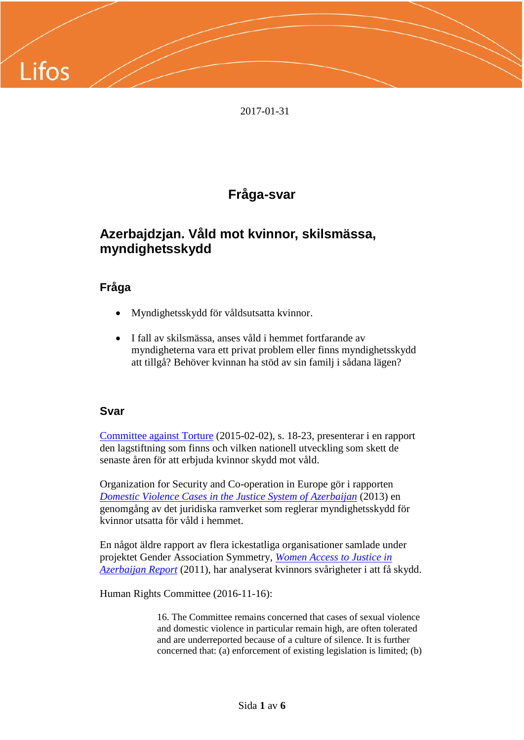

2017-01-31

# **Fråga-svar**

## **Azerbajdzjan. Våld mot kvinnor, skilsmässa, myndighetsskydd**

## **Fråga**

- Myndighetsskydd för våldsutsatta kvinnor.
- I fall av skilsmässa, anses våld i hemmet fortfarande av myndigheterna vara ett privat problem eller finns myndighetsskydd att tillgå? Behöver kvinnan ha stöd av sin familj i sådana lägen?

### **Svar**

[Committee against Torture](http://www.ecoi.net/file_upload/1930_1432891513_g1501531.pdf) (2015-02-02), s. 18-23, presenterar i en rapport den lagstiftning som finns och vilken nationell utveckling som skett de senaste åren för att erbjuda kvinnor skydd mot våld.

Organization for Security and Co-operation in Europe gör i rapporten *[Domestic Violence Cases in the Justice System of Azerbaijan](http://www.ecoi.net/file_upload/1226_1388757114_110044azer.pdf)* (2013) en genomgång av det juridiska ramverket som reglerar myndighetsskydd för kvinnor utsatta för våld i hemmet.

En något äldre rapport av flera ickestatliga organisationer samlade under projektet Gender Association Symmetry, *[Women Access to Justice in](http://www.karat.org/wp-content/uploads/2012/01/Access_to_justice_Report_Azerbaijan_en.pdf)  [Azerbaijan Report](http://www.karat.org/wp-content/uploads/2012/01/Access_to_justice_Report_Azerbaijan_en.pdf)* (2011), har analyserat kvinnors svårigheter i att få skydd.

Human Rights Committee (2016-11-16):

16. The Committee remains concerned that cases of sexual violence and domestic violence in particular remain high, are often tolerated and are underreported because of a culture of silence. It is further concerned that: (a) enforcement of existing legislation is limited; (b)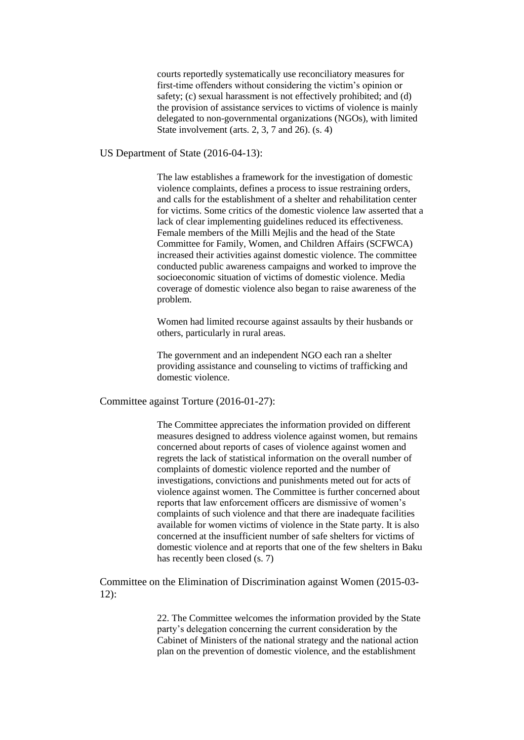courts reportedly systematically use reconciliatory measures for first-time offenders without considering the victim's opinion or safety; (c) sexual harassment is not effectively prohibited; and (d) the provision of assistance services to victims of violence is mainly delegated to non-governmental organizations (NGOs), with limited State involvement (arts. 2, 3, 7 and 26). (s. 4)

US Department of State (2016-04-13):

The law establishes a framework for the investigation of domestic violence complaints, defines a process to issue restraining orders, and calls for the establishment of a shelter and rehabilitation center for victims. Some critics of the domestic violence law asserted that a lack of clear implementing guidelines reduced its effectiveness. Female members of the Milli Mejlis and the head of the State Committee for Family, Women, and Children Affairs (SCFWCA) increased their activities against domestic violence. The committee conducted public awareness campaigns and worked to improve the socioeconomic situation of victims of domestic violence. Media coverage of domestic violence also began to raise awareness of the problem.

Women had limited recourse against assaults by their husbands or others, particularly in rural areas.

The government and an independent NGO each ran a shelter providing assistance and counseling to victims of trafficking and domestic violence.

Committee against Torture (2016-01-27):

The Committee appreciates the information provided on different measures designed to address violence against women, but remains concerned about reports of cases of violence against women and regrets the lack of statistical information on the overall number of complaints of domestic violence reported and the number of investigations, convictions and punishments meted out for acts of violence against women. The Committee is further concerned about reports that law enforcement officers are dismissive of women's complaints of such violence and that there are inadequate facilities available for women victims of violence in the State party. It is also concerned at the insufficient number of safe shelters for victims of domestic violence and at reports that one of the few shelters in Baku has recently been closed  $(s, 7)$ 

Committee on the Elimination of Discrimination against Women (2015-03-  $12$ :

> 22. The Committee welcomes the information provided by the State party's delegation concerning the current consideration by the Cabinet of Ministers of the national strategy and the national action plan on the prevention of domestic violence, and the establishment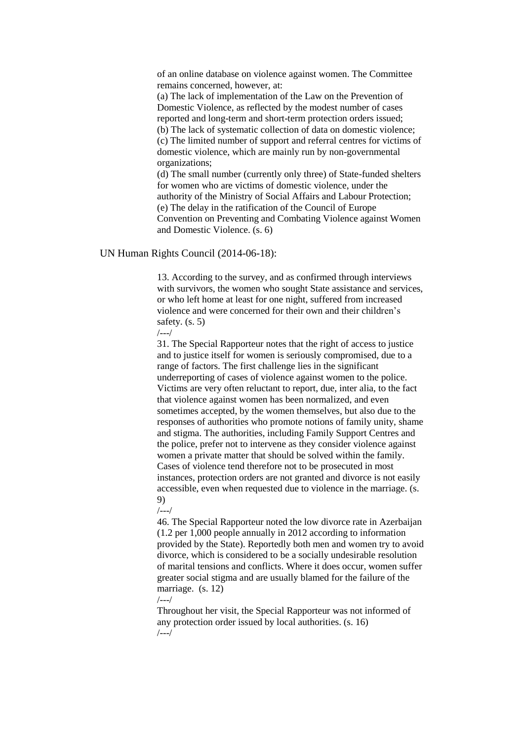of an online database on violence against women. The Committee remains concerned, however, at:

(a) The lack of implementation of the Law on the Prevention of Domestic Violence, as reflected by the modest number of cases reported and long-term and short-term protection orders issued; (b) The lack of systematic collection of data on domestic violence; (c) The limited number of support and referral centres for victims of domestic violence, which are mainly run by non-governmental organizations;

(d) The small number (currently only three) of State-funded shelters for women who are victims of domestic violence, under the authority of the Ministry of Social Affairs and Labour Protection; (e) The delay in the ratification of the Council of Europe Convention on Preventing and Combating Violence against Women and Domestic Violence. (s. 6)

#### UN Human Rights Council (2014-06-18):

13. According to the survey, and as confirmed through interviews with survivors, the women who sought State assistance and services. or who left home at least for one night, suffered from increased violence and were concerned for their own and their children's safety. (s. 5)

/---/

31. The Special Rapporteur notes that the right of access to justice and to justice itself for women is seriously compromised, due to a range of factors. The first challenge lies in the significant underreporting of cases of violence against women to the police. Victims are very often reluctant to report, due, inter alia, to the fact that violence against women has been normalized, and even sometimes accepted, by the women themselves, but also due to the responses of authorities who promote notions of family unity, shame and stigma. The authorities, including Family Support Centres and the police, prefer not to intervene as they consider violence against women a private matter that should be solved within the family. Cases of violence tend therefore not to be prosecuted in most instances, protection orders are not granted and divorce is not easily accessible, even when requested due to violence in the marriage. (s. 9)

/---/

46. The Special Rapporteur noted the low divorce rate in Azerbaijan (1.2 per 1,000 people annually in 2012 according to information provided by the State). Reportedly both men and women try to avoid divorce, which is considered to be a socially undesirable resolution of marital tensions and conflicts. Where it does occur, women suffer greater social stigma and are usually blamed for the failure of the marriage. (s. 12)

/---/

Throughout her visit, the Special Rapporteur was not informed of any protection order issued by local authorities. (s. 16) /---/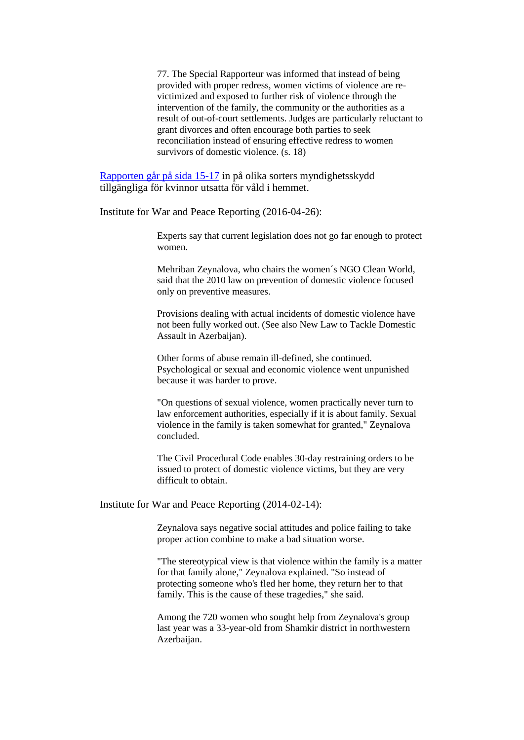77. The Special Rapporteur was informed that instead of being provided with proper redress, women victims of violence are revictimized and exposed to further risk of violence through the intervention of the family, the community or the authorities as a result of out-of-court settlements. Judges are particularly reluctant to grant divorces and often encourage both parties to seek reconciliation instead of ensuring effective redress to women survivors of domestic violence. (s. 18)

[Rapporten går på sida 15-17](http://www.ecoi.net/file_upload/1930_1403527102_a-hrc-26-38-add-3-eng.doc) in på olika sorters myndighetsskydd tillgängliga för kvinnor utsatta för våld i hemmet.

Institute for War and Peace Reporting (2016-04-26):

Experts say that current legislation does not go far enough to protect women.

Mehriban Zeynalova, who chairs the women´s NGO Clean World, said that the 2010 law on prevention of domestic violence focused only on preventive measures.

Provisions dealing with actual incidents of domestic violence have not been fully worked out. (See also New Law to Tackle Domestic Assault in Azerbaijan).

Other forms of abuse remain ill-defined, she continued. Psychological or sexual and economic violence went unpunished because it was harder to prove.

"On questions of sexual violence, women practically never turn to law enforcement authorities, especially if it is about family. Sexual violence in the family is taken somewhat for granted," Zeynalova concluded.

The Civil Procedural Code enables 30-day restraining orders to be issued to protect of domestic violence victims, but they are very difficult to obtain.

Institute for War and Peace Reporting (2014-02-14):

Zeynalova says negative social attitudes and police failing to take proper action combine to make a bad situation worse.

"The stereotypical view is that violence within the family is a matter for that family alone," Zeynalova explained. "So instead of protecting someone who's fled her home, they return her to that family. This is the cause of these tragedies," she said.

Among the 720 women who sought help from Zeynalova's group last year was a 33-year-old from Shamkir district in northwestern Azerbaijan.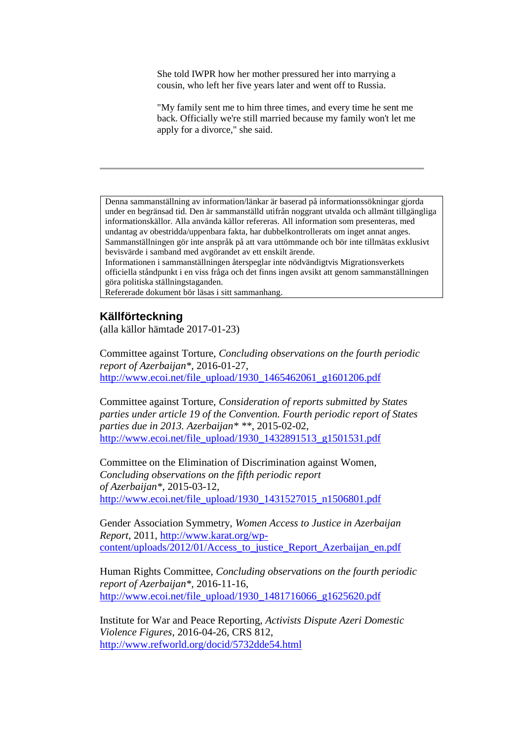She told IWPR how her mother pressured her into marrying a cousin, who left her five years later and went off to Russia.

"My family sent me to him three times, and every time he sent me back. Officially we're still married because my family won't let me apply for a divorce," she said.

Denna sammanställning av information/länkar är baserad på informationssökningar gjorda under en begränsad tid. Den är sammanställd utifrån noggrant utvalda och allmänt tillgängliga informationskällor. Alla använda källor refereras. All information som presenteras, med undantag av obestridda/uppenbara fakta, har dubbelkontrollerats om inget annat anges. Sammanställningen gör inte anspråk på att vara uttömmande och bör inte tillmätas exklusivt bevisvärde i samband med avgörandet av ett enskilt ärende.

Informationen i sammanställningen återspeglar inte nödvändigtvis Migrationsverkets officiella ståndpunkt i en viss fråga och det finns ingen avsikt att genom sammanställningen göra politiska ställningstaganden.

Refererade dokument bör läsas i sitt sammanhang.

### **Källförteckning**

(alla källor hämtade 2017-01-23)

Committee against Torture, *Concluding observations on the fourth periodic report of Azerbaijan\**, 2016-01-27, [http://www.ecoi.net/file\\_upload/1930\\_1465462061\\_g1601206.pdf](http://www.ecoi.net/file_upload/1930_1465462061_g1601206.pdf)

Committee against Torture, *Consideration of reports submitted by States parties under article 19 of the Convention. Fourth periodic report of States parties due in 2013. Azerbaijan\* \*\**, 2015-02-02, [http://www.ecoi.net/file\\_upload/1930\\_1432891513\\_g1501531.pdf](http://www.ecoi.net/file_upload/1930_1432891513_g1501531.pdf)

Committee on the Elimination of Discrimination against Women, *Concluding observations on the fifth periodic report of Azerbaijan\**, 2015-03-12, [http://www.ecoi.net/file\\_upload/1930\\_1431527015\\_n1506801.pdf](http://www.ecoi.net/file_upload/1930_1431527015_n1506801.pdf)

Gender Association Symmetry, *Women Access to Justice in Azerbaijan Report*, 2011, [http://www.karat.org/wp](http://www.karat.org/wp-content/uploads/2012/01/Access_to_justice_Report_Azerbaijan_en.pdf)[content/uploads/2012/01/Access\\_to\\_justice\\_Report\\_Azerbaijan\\_en.pdf](http://www.karat.org/wp-content/uploads/2012/01/Access_to_justice_Report_Azerbaijan_en.pdf)

Human Rights Committee, *Concluding observations on the fourth periodic report of Azerbaijan\**, 2016-11-16, [http://www.ecoi.net/file\\_upload/1930\\_1481716066\\_g1625620.pdf](http://www.ecoi.net/file_upload/1930_1481716066_g1625620.pdf)

Institute for War and Peace Reporting, *Activists Dispute Azeri Domestic Violence Figures*, 2016-04-26, CRS 812, <http://www.refworld.org/docid/5732dde54.html>